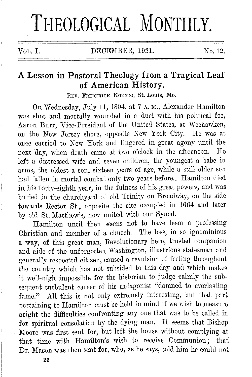# **THEOLOGICAL MONTHLY.**

j

VOL. I. DECEMBER, 1921. No.12.

## **A Lesson in Pastoral Theology from a Tragical Leaf of American History.**

REV. FREDERICK KOENIG, St. Louis, Mo.

On Wednesday, July 11, 1804, at 7 A. M., Alexander Hamilton was shot and mortally woumled in a 'duel with his political foe, Aaron Burr, Vice-President of the United States, at Weehawken, on the New Jersey shore, opposite New York City. He was at once carried to New York aml lingered in great agony until the next day, when death came at two o'clock in the afternoon. He left a distressed wife and seven children, the youngest a babe in arms, the oldest a son, sixteen years of age, while a still older son had fallen in mortal combat only two years before., Hamilton died in his forty-eighth year, in the fulness of his great powers, and was buried in the churchyard of old Trinity on Broadway, on the side towards Rector St., opposite the site occupied in 1664 and later by old St. Matthew's, now united with our Synod.

Hamilton until then seems not to have been a professing Christian and member of a church. The loss, in so ignominious a way, of this great man, Revolutionary hero, trusted companion and aide of the unforgotten Washington, illustrious statesman and generally respected citizen, caused a revulsion of feeling throughout the country which has not subsided to this day and which makes it well-nigh impossible for the historian to judge calmly the subsequent turbulent career of his antagonist "damned to everlasting fame." All this is not only extremely interesting, but that part pertaining to Hamilton must be held in miml if we wish to measure aright the difficulties confronting any one that was to be called in for spiritual consolation by the dying man. It seems that Bishop Moore was first sent for, but left the house without complying at that time with Hamilton's wish to receive Communion; that Dr. Mason was then sent for, who, as he says, told him he could not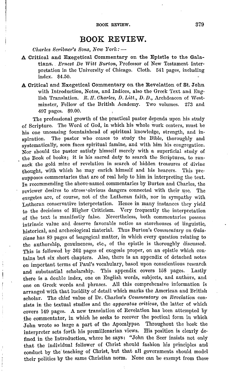#### **BOOK REVIEW.**

*Charles Scribner's Sons, New York:* -

- **A** Critical and Exegetical Commentary on the Epistle to the Galatians. *Ernest De Witt Burton*, Professor of New Testament Interpretation in the University of Chicago. Cloth. 541 pages, including index. \$4.50.
- A Critical and Exegetical Commentary on the Revelation of St. John with Introduction, Notes, and Indices, also the Greek Text and English Translation. *R. II. Charles, D. Litt., D. D., Archdeacon of West*minster, Fellow of the British Academy. Two volumes. 273 and 497 pages. \$9.00.

The professional growth of the practical pastor depends upon his study of Scripture. The Word of God, in which his whole work centers, must be his one unceasing fountainhead of spiritual knowledge, strength, and inspiration. The pastor who ceases to study the Bible, thoroughly and systematically, soon faces spiritual famine, and with him his congregation. Nor should the pastor satisfy himself merely with a superficial study of the Book of hooks; it is his sacred duty to search the Scriptures, to ransack the gold mine of revelation in search of hidden treasures of divine thought, with which he may enrich himself and his hearers. This presupposes commentaries that are of real help to him in interpreting the text. In recommending the above-named commentaries by Burton and Charles, the reviewer desires to stress obvious dangers connected with their use. The exegetes are, of course, not of the Lutheran faith, nor in sympathy with Lutheran conservative interpretation. Hence in many instances they yield to the decisions of Higher Criticism. Very frequently the interpretatfon of the text is manifestly false. Nevertheless, both commentaries possess intrinsic value and deserve favorable notice as storehouses of linguistic, historical, and archeological material. Thus Burton's *Commentary on Galatians* has 80 pages of isagogical matter, in which every question relating to the authorship, genuineness, etc., of the epistle is thoroughly discussed. This is followed by 362 pages of exegesis proper, on an epistle which contains but six short chapters. Also, there is an appendix of detached notes on important terms of Paul's vocabulary, based upon conscientious research and substantial scholarship. This appendix covers 158 pages. Lastly there is a double index, one on English words, subjects, and authors, and one on Greek words and phrases. All this comprehensive information is arranged with that lucidity of detail which marks the American and British scholar. The chief value of Dr. Charles's *Comrnentary on Revelation* consists in the textual studies and the *apparatus criticus,* the latter of which covers 149 pages. A new translation of Revelation has been attempted by the commentator, in which he seeks to recover the poetical form in which John wrote so large a part of the Apocalypse. Throughout the book the interpreter sets forth his premillenarian views. His position is clearly defined in the Introduction, where he says: "John the Seer insists not only that the individual follower of Christ should fashion his principles and conduct by the teaching of Christ, but that all governments should model their politics by the same Christian norm. None can he exempt from these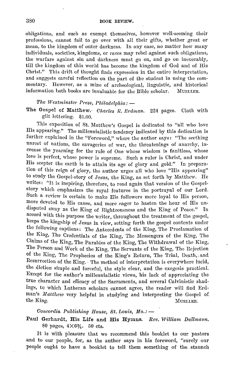obligations, and such as exempt themselves, however well-seeming their professions, cannot fail to go over. with all their gifts, whether great or mean, to the kingdom of outer darkness. In any case, no matter how many individuals, societies, kingdoms, or races may rebel against such ohligations, the warfare against sin and darkness must go on, and go on inexorably, till the kingdom of this world has become the kingdom of God and of His Christ." This drift of thought finds expression in the entire interpretation, and suggests careful reflection on the part of the student in using the commentary. However, as a mine of archeological, linguistic, and historical information both books are invaluable for the Bible scholar. MUELLER.

#### *The Westminster Press, Philadelphia:*  $-$

The Gospel of Matthew.· *Charles* R. *Erdman.* 224 pages. Cloth with gilt lettering. \$1.00.

This exposition of St. Matthew's Gospel is dedicated to "all who love His appearing." The millennialistic tendency indicated by this dedication is further explained in the "Foreword," where the author says: "The seething unrest of nations, the savageries of war, the threatenings of anarchy, increase the yearning for the rule of One whose wisdom is faultless, whose love is perfect, whose power is supreme. Such a ruler is Christ, and under His scepter the earth is to attain its age of glory and gold." In preparation of this reign of glory, the author urges all who love "His appearing" to study the Gospel-story of Jesus, the King, as set forth hy Matthew. He writes: "It is inspiring, therefore, to read again that version of the Gospelstory which emphasizes the royal features in the portrayal of our Lord. Such a review is certain to make His followers more loyal to His person, more devoted to His cause, and more eager to hasten the hour of His undisputed sway as the King of Righteousness and the King of Peace." In accord with this purpose the writer, throughout the treatment of the gospel, keeps the kingship of Jesus in view, setting forth the gospel contents under the following captions: The Antecedents of the King, The Proclamation of the King, The Credentials of the King, The Messengers of the King, The Claims of the King, The Parables of the King, The Withdrawal of the King, The Person and Work of the King, The Servants of the King, The Rejection of the King, The Prophecies of the King's Return, The Trial, Death, and Resurrection of the King. The method of interpretation is everywhere lucid, the diction simple and forceful, the style clear, and the exegesis practical. Except for the author's millennialistic views, his lack of appreciating the true character and efficacy of the Sacraments, and several Calvinistic shadings, to which Lutheran scholars cannot agree, the reader will find Erdman's *Matthew* very helpful in studying and interpreting the Gospel of the King. Music and the King.

*Concordia Publishing House, St. Louis, Mo.:* -

Paul Gerhardt, His Life and His Hymns. *Rev. William Dallmann.*  80 pages, 4X6%, 50 cts.

It is with pleasure that we recommend this booklet to our pastors .and to our people, for, as the author says in his foreword, "surely our people ought to have a booklet to tell them something of the staunch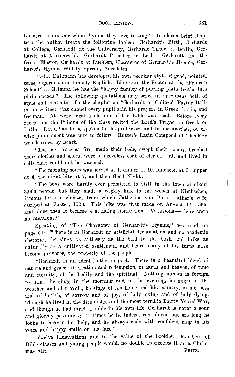Lutheran confessor whose hymns they love to sing." In eleven brief chapters the author treats the following topics: Gerhardt's Birth, Gerhardt at College, Gerhardt at the University, Gerhardt Tutor in Berlin, Gerhardt at Mittenwalde, Gerhardt Preacher in Berlin, Gerhardt and the Great Elector, Gerhardt at Luebben, Character of Gerhardt's Hymns, Ger· hardt's Hymns Widely Spread, Anecdotes.

Pastor Dallmann has developed his own peculiar style of good, pointed, terse, vigorous, and homely English. Like unto the Rector at the "Prince's School" at Grimma he has the "happy faculty of putting plain truths into plain speech." The following quotations may serve as specimens both of style and contents. In the chapter on "Gerhardt at College" Pastor Dallmann writes: "At chapel every pupil said his prayers in Greek, Latin, and German. At every meal a chapter of the Bible was read. Before every recitation the Primus of the class recited the Lord's Prayer in Greek or Latin. Latin had to be spoken to the professors and to one another, other· wise punishment was sure to follow. Hutter's Latin Compend of Theology was learned by heart.

"The boys rose at five, made their beds, swept their rooms, brushed their clothes and shoes, wore a sleeveless coat of clerical cut, and lived in cells that could not he warmed.

"The morning soup was served at 7, dinner at 10, luncheon at 2, supper at 4, the night bite at 7, and then Good Night!

"The boys were hardly ever permitted to visit in the town of about  $3.000$  people, but they made a weekly hike to the woods at Nimhschen, famous for the cloister from which Catherine von Bora, Luther's wife, escaped at Easter, 1523. This hike was first made on August 12, 1595, and since then it became a standing institution. Vacations  $-$  there were no vacations."

Speaking of "The Character of Gerhardt's Hymns," we read on page 54: "There is in Gerhardt no artificial declamation and no academic rhetoric; he sings as artlessly as the bird in the bush and talks as naturally as a cultivated gentleman, and hence many of his turns have become proverbs, the property of the people.

"Gerhardt is an ideal Lutheran poet. There is a beautiful blend of nature and grace, of creation and redemption, of earth and heaven, of time and eternity, of the bodily and the spiritual. Nothing human is foreign to him; he sings in the morning and in the evening, he sings of the weather and of travels, he sings of his home and his country, of sickness and of health, of sorrow and of joy, of holy living and of holy dying. Though he lived in the dire distress of the most terrible Thirty Years' War, and though he had much trouble in his own life, Gerhardt is never a sour and gloomy pessimist; at times he is, indeed, cast down, but ere long he looks to heaven for help, and he always ends with confident ring in his voice and happy smile on his face."

Twelve illustrations add to the value of the booklet. Members of Bible classes and young people would, no doubt, appreciate it as a Christmas gift. FRITZ.

*I*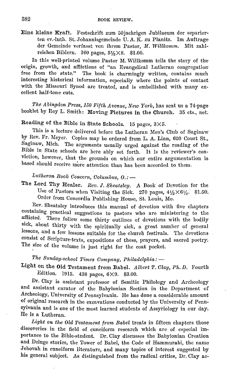Eine kleine Kraft. Festschrift zum 50jaehrigen Jubilaeum der separierten ev.-luth. St. Johannisgemeinde U. A. K. zu Planitz. Im Auftrage der Gemeinde verfasst von ihrem Pastor, *M. Willlcomm.* Mit zahlreichen Bildern. 160 pages,  $5\frac{1}{2} \times 8$ . \$1.00.

In this well-printed volume Pastor M. Willkomm tells the story of the· origin, growth, and affiictions of "an Evangelical Lutheran congregation free from the state." The book is charmingly written, contains much interesting historical information, especially where the points of contact with the Missouri Synod are treated, and is embellished with many excellent half-tone cuts.

*The Abingdon Press, 150 Fifth Avenue, Neto Yorlc,* has sent us a 74-page booklet by Roy L. Smith: Moving Pictures in the Church. 35 cts., net.

### Reading of the Bible in State Schools. 15 pages, 3X5.

This is a lecture delivered before the Lutheran Men's Club of Saginaw by Rev. Fr. Meyer. Copies may be ordered from L. A. Linn, 620 Court St., Saginaw, Mich. The arguments usually urged against the reading of the Bible in State schools are here ably set forth. It is the reviewer's conviction, however, that the grounds on which our entire argumentation is. based should receive more attention than has been accorded to them.

### *Lutheran Book Concern, Columbus, O.:*  $-$

The Lord Thy Healer. *Rev.* J. *Sheatsley.* A Book of Devotion for the Use of Pastors when Visiting the Sick. 270 pages,  $4\frac{1}{2} \times 6\frac{1}{2}$ . \$1.50. Order from Concordia Publishing House, St. Louis, Mo.

Rev. Sheatsley introduces this manual of devotion with five chapters containing practical suggestions to pastors who are ministering to the afflicted. There follow some thirty outlines of devotions with the bodily sick, about thirty with the spiritually sick, a great number of general lessons, and a few lessons suitable for the church festivals. The devotions consist of Scripture-texts, expositions of these, prayers, and sacred poetry. The size of the volume is just right for the coat pocket.

#### The Sunday-school Times Company, Philadelphia: -

Light on the Old Testament from Babel. Albert T. Clay, Ph. D. Fourth Edition. 1015. 438 pages, 6X9. \$3.00.

Dr. Clay is assistant professor of Semitic Philology and Archeology and assistant curator of the Babylonian Section in the Department of Archeology, University of Pennsylvania. He has done a considerable amount of original research in the excavations conducted by the University of Pennsylvania and is one of the most learned students of Assyriology in our day. He is a Lutheran.

Light on the Old Testament from Babel treats in fifteen chapters those discoveries in the field of cuneiform research which are of especial importance to the Bible-student. Dr. Clay discusses the Babylonian Creation and Deluge stories, the Tower of Babel, the Code of Hammurabi, the name Jehovah in cuneiform literature, and many topics of interest suggested by his general subject. As distinguished from the radical critics, Dr. Clay ac-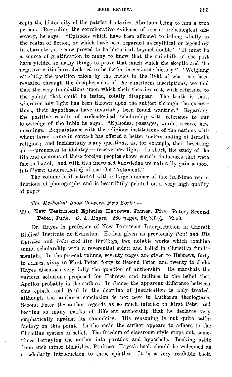#### BOOK REVIEW. 383

eepts the historicity of the patriarch stories, Abraham being to him a true person. Regarding the corroborative evidence of recent archcological discovery, he says: "Episodes which have been affirmed to belong wholly to the realm of fiction, or which have been regarded as mythical or legendary in character, are now proved to he historical, beyond doubt." "It must he a source of gratification to many to know that the ruin-hills of the past have yielded so many things to prove that much which the skeptic and the negative critic have declared to he fiction is veritable history." "Weighing carefully the position taken by the critics in the light of what has been revealed through the decipherment of the cuneiform inscriptions, we find that the very foundations upon which their theories rest, with reference to the points that could he tested, totally disappear. The truth is that, wherever any light has been thrown upon the subject through the excavations, their hypotheses have invariably been found wanting." Regarding the positive results of archeological scholarship with reference to our knowledge of the Bible he says: "Episodes, passages, words, receive new meanings. Acquaintance with the religious institutions of the nations with whom Israel came in contact has offered a better understanding of Israel's religion; and incidentally many questions, as, for example, their besetting sin - proneness to idolatry - receive new light. In short, the study of the life and customs of these foreign peoples shows certain influences that were felt in Israel; and with this increased knowledge we naturally gain a more intelligent understanding of the Old Testament."

The volume is illustrated with a large number of fine half-tone reproductions of photographs and is beautifully printed on a very high quality of paper.

*The Methodist Book Concern, New York:*  $-$ 

The New Testament Epistles Hebrews, James, First Peter, Second Peter, Jude. D. A. *Hayes.* 266 pages,  $5\frac{1}{2} \times 8\frac{1}{2}$ . \$2.50.

Dr. Hayes is professor of New Testament Interpretation in Garrett Biblical Institute at Evanston. He has given us previously *Paul and His Epistles and John and His Writings*, two notable works which combine sound scholarship with a reverential spirit and belief in Christian fundamentals. In the present volume, seventy pages are given to Hebrews, forty to James, sixty to First Peter, forty to Second Peter, and twenty to Jude. Rayes discusses very fully the question of authorship. He marshals the various solutions proposed for Hebrews and inclines to the belief that Apollos probably is the author. In James. the apparent difference between this epistle and Paul in the doctrine of justification is ably treated, although the author's conclusion is not new to Lutheran theologians. Second Peter the author regards as so much inferior to First Peter and bearing so many marks of different authorship that he declares very emphatically against its canonicity. His reasoning is not quite satisfactory on this point. In the main the author appears to adhere to the Christian system of belief. The freedom of classroom style crops out, sometimes betraying the author into paradox and hyperbole. Looking aside from such minor blemishes, Professor Hayes's book should be welcomed as a scholarly introduction to these epistles. It is a very readable book. *.I*